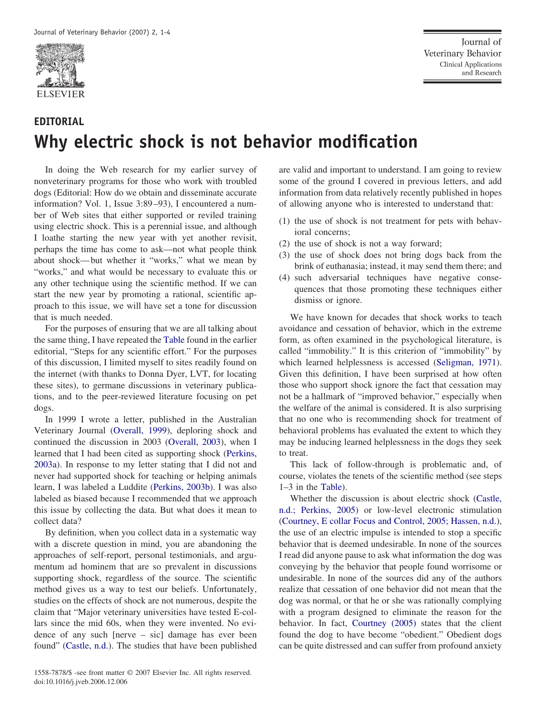

## **EDITORIAL Why electric shock is not behavior modification**

In doing the Web research for my earlier survey of nonveterinary programs for those who work with troubled dogs (Editorial: How do we obtain and disseminate accurate information? Vol. 1, Issue 3:89–93), I encountered a number of Web sites that either supported or reviled training using electric shock. This is a perennial issue, and although I loathe starting the new year with yet another revisit, perhaps the time has come to ask—not what people think about shock—but whether it "works," what we mean by "works," and what would be necessary to evaluate this or any other technique using the scientific method. If we can start the new year by promoting a rational, scientific approach to this issue, we will have set a tone for discussion that is much needed.

For the purposes of ensuring that we are all talking about the same thing, I have repeated the [Table](#page-1-0) found in the earlier editorial, "Steps for any scientific effort." For the purposes of this discussion, I limited myself to sites readily found on the internet (with thanks to Donna Dyer, LVT, for locating these sites), to germane discussions in veterinary publications, and to the peer-reviewed literature focusing on pet dogs.

In 1999 I wrote a letter, published in the Australian Veterinary Journal [\(Overall,](#page-3-0) 1999), deploring shock and continued the discussion in 2003 [\(Overall,](#page-3-0) 2003), when I learned that I had been cited as supporting shock [\(Perkins,](#page-3-0) [2003a\)](#page-3-0). In response to my letter stating that I did not and never had supported shock for teaching or helping animals learn, I was labeled a Luddite [\(Perkins,](#page-3-0) 2003b). I was also labeled as biased because I recommended that we approach this issue by collecting the data. But what does it mean to collect data?

By definition, when you collect data in a systematic way with a discrete question in mind, you are abandoning the approaches of self-report, personal testimonials, and argumentum ad hominem that are so prevalent in discussions supporting shock, regardless of the source. The scientific method gives us a way to test our beliefs. Unfortunately, studies on the effects of shock are not numerous, despite the claim that "Major veterinary universities have tested E-collars since the mid 60s, when they were invented. No evidence of any such [nerve – sic] damage has ever been found" [\(Castle,](#page-3-0) n.d.). The studies that have been published

are valid and important to understand. I am going to review some of the ground I covered in previous letters, and add information from data relatively recently published in hopes of allowing anyone who is interested to understand that:

- (1) the use of shock is not treatment for pets with behavioral concerns;
- (2) the use of shock is not a way forward;
- (3) the use of shock does not bring dogs back from the brink of euthanasia; instead, it may send them there; and
- (4) such adversarial techniques have negative consequences that those promoting these techniques either dismiss or ignore.

We have known for decades that shock works to teach avoidance and cessation of behavior, which in the extreme form, as often examined in the psychological literature, is called "immobility." It is this criterion of "immobility" by which learned helplessness is accessed [\(Seligman,](#page-3-0) 1971). Given this definition, I have been surprised at how often those who support shock ignore the fact that cessation may not be a hallmark of "improved behavior," especially when the welfare of the animal is considered. It is also surprising that no one who is recommending shock for treatment of behavioral problems has evaluated the extent to which they may be inducing learned helplessness in the dogs they seek to treat.

This lack of follow-through is problematic and, of course, violates the tenets of the scientific method (see steps 1–3 in the [Table\)](#page-1-0).

Whether the discussion is about electric shock [\(Castle,](#page-3-0) n.d.; [Perkins,](#page-3-0) 2005) or low-level electronic stimulation [\(Courtney,](#page-3-0) E collar Focus and Control, 2005; Hassen, n.d.), the use of an electric impulse is intended to stop a specific behavior that is deemed undesirable. In none of the sources I read did anyone pause to ask what information the dog was conveying by the behavior that people found worrisome or undesirable. In none of the sources did any of the authors realize that cessation of one behavior did not mean that the dog was normal, or that he or she was rationally complying with a program designed to eliminate the reason for the behavior. In fact, [Courtney](#page-3-0) (2005) states that the client found the dog to have become "obedient." Obedient dogs can be quite distressed and can suffer from profound anxiety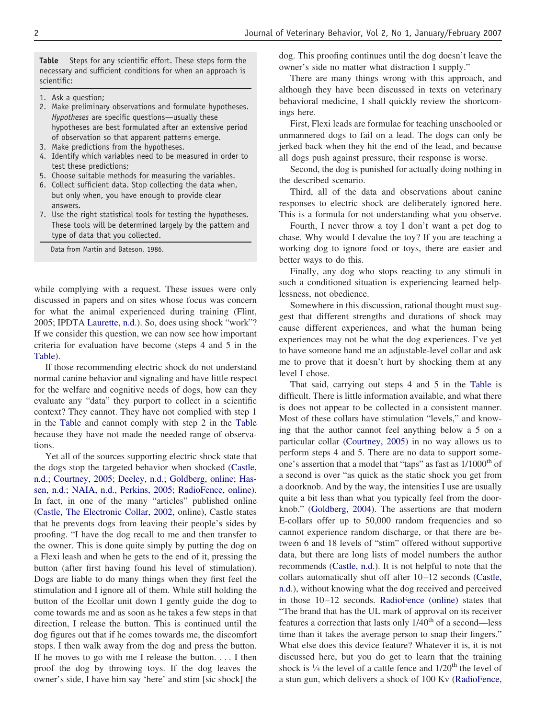<span id="page-1-0"></span>**Table** Steps for any scientific effort. These steps form the necessary and sufficient conditions for when an approach is scientific:

- 1. Ask a question;
- 2. Make preliminary observations and formulate hypotheses. *Hypotheses* are specific questions—usually these hypotheses are best formulated after an extensive period of observation so that apparent patterns emerge.
- 3. Make predictions from the hypotheses.
- 4. Identify which variables need to be measured in order to test these predictions;
- 5. Choose suitable methods for measuring the variables.
- 6. Collect sufficient data. Stop collecting the data when, but only when, you have enough to provide clear answers.
- 7. Use the right statistical tools for testing the hypotheses. These tools will be determined largely by the pattern and type of data that you collected.

Data from Martin and Bateson, 1986.

while complying with a request. These issues were only discussed in papers and on sites whose focus was concern for what the animal experienced during training (Flint, 2005; IPDTA [Laurette,](#page-3-0) n.d.). So, does using shock "work"? If we consider this question, we can now see how important criteria for evaluation have become (steps 4 and 5 in the Table).

If those recommending electric shock do not understand normal canine behavior and signaling and have little respect for the welfare and cognitive needs of dogs, how can they evaluate any "data" they purport to collect in a scientific context? They cannot. They have not complied with step 1 in the Table and cannot comply with step 2 in the Table because they have not made the needed range of observations.

Yet all of the sources supporting electric shock state that the dogs stop the targeted behavior when shocked [\(Castle,](#page-3-0) n.d.; Courtney, 2005; Deeley, n.d.; [Goldberg,](#page-3-0) online; Hassen, n.d.; NAIA, n.d., Perkins, 2005; [RadioFence,](#page-3-0) online). In fact, in one of the many "articles" published online (Castle, The [Electronic](#page-3-0) Collar, 2002, online), Castle states that he prevents dogs from leaving their people's sides by proofing. "I have the dog recall to me and then transfer to the owner. This is done quite simply by putting the dog on a Flexi leash and when he gets to the end of it, pressing the button (after first having found his level of stimulation). Dogs are liable to do many things when they first feel the stimulation and I ignore all of them. While still holding the button of the Ecollar unit down I gently guide the dog to come towards me and as soon as he takes a few steps in that direction, I release the button. This is continued until the dog figures out that if he comes towards me, the discomfort stops. I then walk away from the dog and press the button. If he moves to go with me I release the button. . . . I then proof the dog by throwing toys. If the dog leaves the owner's side, I have him say 'here' and stim [sic shock] the dog. This proofing continues until the dog doesn't leave the owner's side no matter what distraction I supply."

There are many things wrong with this approach, and although they have been discussed in texts on veterinary behavioral medicine, I shall quickly review the shortcomings here.

First, Flexi leads are formulae for teaching unschooled or unmannered dogs to fail on a lead. The dogs can only be jerked back when they hit the end of the lead, and because all dogs push against pressure, their response is worse.

Second, the dog is punished for actually doing nothing in the described scenario.

Third, all of the data and observations about canine responses to electric shock are deliberately ignored here. This is a formula for not understanding what you observe.

Fourth, I never throw a toy I don't want a pet dog to chase. Why would I devalue the toy? If you are teaching a working dog to ignore food or toys, there are easier and better ways to do this.

Finally, any dog who stops reacting to any stimuli in such a conditioned situation is experiencing learned helplessness, not obedience.

Somewhere in this discussion, rational thought must suggest that different strengths and durations of shock may cause different experiences, and what the human being experiences may not be what the dog experiences. I've yet to have someone hand me an adjustable-level collar and ask me to prove that it doesn't hurt by shocking them at any level I chose.

That said, carrying out steps 4 and 5 in the Table is difficult. There is little information available, and what there is does not appear to be collected in a consistent manner. Most of these collars have stimulation "levels," and knowing that the author cannot feel anything below a 5 on a particular collar [\(Courtney,](#page-3-0) 2005) in no way allows us to perform steps 4 and 5. There are no data to support someone's assertion that a model that "taps" as fast as  $1/1000$ <sup>th</sup> of a second is over "as quick as the static shock you get from a doorknob. And by the way, the intensities I use are usually quite a bit less than what you typically feel from the doorknob." [\(Goldberg,](#page-3-0) 2004). The assertions are that modern E-collars offer up to 50,000 random frequencies and so cannot experience random discharge, or that there are between 6 and 18 levels of "stim" offered without supportive data, but there are long lists of model numbers the author recommends [\(Castle,](#page-3-0) n.d.). It is not helpful to note that the collars automatically shut off after 10–12 seconds [\(Castle,](#page-3-0) [n.d.\)](#page-3-0), without knowing what the dog received and perceived in those 10–12 seconds. [RadioFence](#page-3-0) (online) states that "The brand that has the UL mark of approval on its receiver features a correction that lasts only  $1/40<sup>th</sup>$  of a second—less time than it takes the average person to snap their fingers." What else does this device feature? Whatever it is, it is not discussed here, but you do get to learn that the training shock is  $\frac{1}{4}$  the level of a cattle fence and  $\frac{1}{20}$ <sup>th</sup> the level of a stun gun, which delivers a shock of 100 Kv [\(RadioFence,](#page-3-0)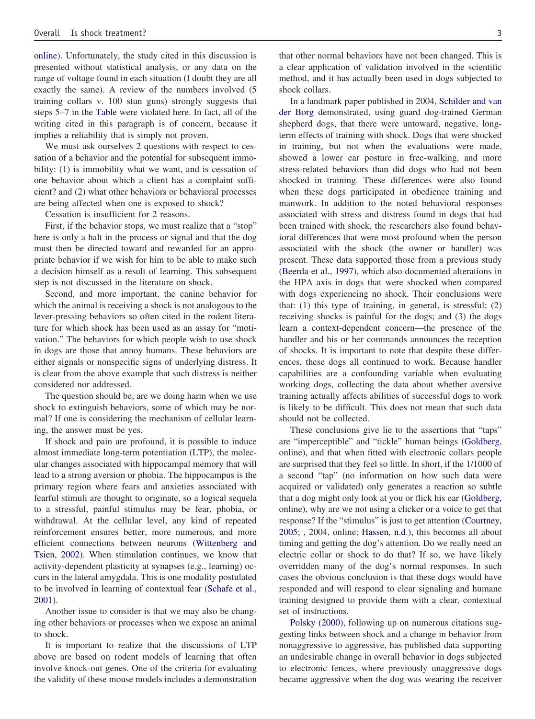[online\)](#page-3-0). Unfortunately, the study cited in this discussion is presented without statistical analysis, or any data on the range of voltage found in each situation (I doubt they are all exactly the same). A review of the numbers involved (5 training collars v. 100 stun guns) strongly suggests that steps 5–7 in the [Table](#page-1-0) were violated here. In fact, all of the writing cited in this paragraph is of concern, because it implies a reliability that is simply not proven.

We must ask ourselves 2 questions with respect to cessation of a behavior and the potential for subsequent immobility: (1) is immobility what we want, and is cessation of one behavior about which a client has a complaint sufficient? and (2) what other behaviors or behavioral processes are being affected when one is exposed to shock?

Cessation is insufficient for 2 reasons.

First, if the behavior stops, we must realize that a "stop" here is only a halt in the process or signal and that the dog must then be directed toward and rewarded for an appropriate behavior if we wish for him to be able to make such a decision himself as a result of learning. This subsequent step is not discussed in the literature on shock.

Second, and more important, the canine behavior for which the animal is receiving a shock is not analogous to the lever-pressing behaviors so often cited in the rodent literature for which shock has been used as an assay for "motivation." The behaviors for which people wish to use shock in dogs are those that annoy humans. These behaviors are either signals or nonspecific signs of underlying distress. It is clear from the above example that such distress is neither considered nor addressed.

The question should be, are we doing harm when we use shock to extinguish behaviors, some of which may be normal? If one is considering the mechanism of cellular learning, the answer must be yes.

If shock and pain are profound, it is possible to induce almost immediate long-term potentiation (LTP), the molecular changes associated with hippocampal memory that will lead to a strong aversion or phobia. The hippocampus is the primary region where fears and anxieties associated with fearful stimuli are thought to originate, so a logical sequela to a stressful, painful stimulus may be fear, phobia, or withdrawal. At the cellular level, any kind of repeated reinforcement ensures better, more numerous, and more efficient connections between neurons [\(Wittenberg](#page-3-0) and [Tsien,](#page-3-0) 2002). When stimulation continues, we know that activity-dependent plasticity at synapses (e.g., learning) occurs in the lateral amygdala. This is one modality postulated to be involved in learning of contextual fear [\(Schafe](#page-3-0) et al., [2001\)](#page-3-0).

Another issue to consider is that we may also be changing other behaviors or processes when we expose an animal to shock.

It is important to realize that the discussions of LTP above are based on rodent models of learning that often involve knock-out genes. One of the criteria for evaluating the validity of these mouse models includes a demonstration

that other normal behaviors have not been changed. This is a clear application of validation involved in the scientific method, and it has actually been used in dogs subjected to shock collars.

In a landmark paper published in 2004, [Schilder](#page-3-0) and van der [Borg](#page-3-0) demonstrated, using guard dog-trained German shepherd dogs, that there were untoward, negative, longterm effects of training with shock. Dogs that were shocked in training, but not when the evaluations were made, showed a lower ear posture in free-walking, and more stress-related behaviors than did dogs who had not been shocked in training. These differences were also found when these dogs participated in obedience training and manwork. In addition to the noted behavioral responses associated with stress and distress found in dogs that had been trained with shock, the researchers also found behavioral differences that were most profound when the person associated with the shock (the owner or handler) was present. These data supported those from a previous study [\(Beerda](#page-3-0) et al., 1997), which also documented alterations in the HPA axis in dogs that were shocked when compared with dogs experiencing no shock. Their conclusions were that: (1) this type of training, in general, is stressful; (2) receiving shocks is painful for the dogs; and (3) the dogs learn a context-dependent concern—the presence of the handler and his or her commands announces the reception of shocks. It is important to note that despite these differences, these dogs all continued to work. Because handler capabilities are a confounding variable when evaluating working dogs, collecting the data about whether aversive training actually affects abilities of successful dogs to work is likely to be difficult. This does not mean that such data should not be collected.

These conclusions give lie to the assertions that "taps" are "imperceptible" and "tickle" human beings [\(Goldberg,](#page-3-0) online), and that when fitted with electronic collars people are surprised that they feel so little. In short, if the 1/1000 of a second "tap" (no information on how such data were acquired or validated) only generates a reaction so subtle that a dog might only look at you or flick his ear [\(Goldberg,](#page-3-0) online), why are we not using a clicker or a voice to get that response? If the "stimulus" is just to get attention [\(Courtney,](#page-3-0) [2005;](#page-3-0) , 2004, online; [Hassen,](#page-3-0) n.d.), this becomes all about timing and getting the dog's attention. Do we really need an electric collar or shock to do that? If so, we have likely overridden many of the dog's normal responses. In such cases the obvious conclusion is that these dogs would have responded and will respond to clear signaling and humane training designed to provide them with a clear, contextual set of instructions.

Polsky [\(2000\),](#page-3-0) following up on numerous citations suggesting links between shock and a change in behavior from nonaggressive to aggressive, has published data supporting an undesirable change in overall behavior in dogs subjected to electronic fences, where previously unaggressive dogs became aggressive when the dog was wearing the receiver